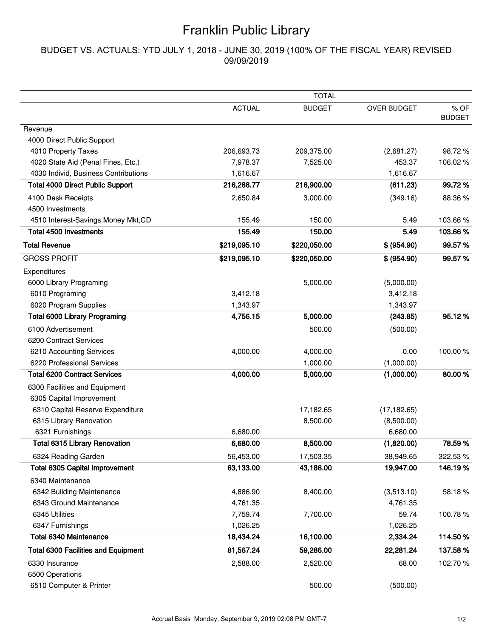## Franklin Public Library

## BUDGET VS. ACTUALS: YTD JULY 1, 2018 - JUNE 30, 2019 (100% OF THE FISCAL YEAR) REVISED 09/09/2019

|                                            | <b>TOTAL</b>  |               |                    |                       |  |
|--------------------------------------------|---------------|---------------|--------------------|-----------------------|--|
|                                            | <b>ACTUAL</b> | <b>BUDGET</b> | <b>OVER BUDGET</b> | % OF<br><b>BUDGET</b> |  |
| Revenue                                    |               |               |                    |                       |  |
| 4000 Direct Public Support                 |               |               |                    |                       |  |
| 4010 Property Taxes                        | 206,693.73    | 209,375.00    | (2,681.27)         | 98.72%                |  |
| 4020 State Aid (Penal Fines, Etc.)         | 7,978.37      | 7,525.00      | 453.37             | 106.02%               |  |
| 4030 Individ, Business Contributions       | 1,616.67      |               | 1,616.67           |                       |  |
| <b>Total 4000 Direct Public Support</b>    | 216,288.77    | 216,900.00    | (611.23)           | 99.72%                |  |
| 4100 Desk Receipts                         | 2,650.84      | 3,000.00      | (349.16)           | 88.36%                |  |
| 4500 Investments                           |               |               |                    |                       |  |
| 4510 Interest-Savings, Money Mkt, CD       | 155.49        | 150.00        | 5.49               | 103.66%               |  |
| <b>Total 4500 Investments</b>              | 155.49        | 150.00        | 5.49               | 103.66%               |  |
| <b>Total Revenue</b>                       | \$219,095.10  | \$220,050.00  | \$ (954.90)        | 99.57%                |  |
| <b>GROSS PROFIT</b>                        | \$219,095.10  | \$220,050.00  | \$ (954.90)        | 99.57%                |  |
| Expenditures                               |               |               |                    |                       |  |
| 6000 Library Programing                    |               | 5,000.00      | (5,000.00)         |                       |  |
| 6010 Programing                            | 3,412.18      |               | 3,412.18           |                       |  |
| 6020 Program Supplies                      | 1,343.97      |               | 1,343.97           |                       |  |
| <b>Total 6000 Library Programing</b>       | 4,756.15      | 5,000.00      | (243.85)           | 95.12%                |  |
| 6100 Advertisement                         |               | 500.00        | (500.00)           |                       |  |
| 6200 Contract Services                     |               |               |                    |                       |  |
| 6210 Accounting Services                   | 4,000.00      | 4,000.00      | 0.00               | 100.00%               |  |
| 6220 Professional Services                 |               | 1,000.00      | (1,000.00)         |                       |  |
| <b>Total 6200 Contract Services</b>        | 4,000.00      | 5,000.00      | (1,000.00)         | 80.00%                |  |
| 6300 Facilities and Equipment              |               |               |                    |                       |  |
| 6305 Capital Improvement                   |               |               |                    |                       |  |
| 6310 Capital Reserve Expenditure           |               | 17,182.65     | (17, 182.65)       |                       |  |
| 6315 Library Renovation                    |               | 8,500.00      | (8,500.00)         |                       |  |
| 6321 Furnishings                           | 6,680.00      |               | 6,680.00           |                       |  |
| <b>Total 6315 Library Renovation</b>       | 6,680.00      | 8,500.00      | (1,820.00)         | 78.59%                |  |
| 6324 Reading Garden                        | 56,453.00     | 17,503.35     | 38,949.65          | 322.53 %              |  |
| <b>Total 6305 Capital Improvement</b>      | 63,133.00     | 43,186.00     | 19,947.00          | 146.19%               |  |
| 6340 Maintenance                           |               |               |                    |                       |  |
| 6342 Building Maintenance                  | 4,886.90      | 8,400.00      | (3,513.10)         | 58.18%                |  |
| 6343 Ground Maintenance                    | 4,761.35      |               | 4,761.35           |                       |  |
| 6345 Utilities                             | 7,759.74      | 7,700.00      | 59.74              | 100.78%               |  |
| 6347 Furnishings                           | 1,026.25      |               | 1,026.25           |                       |  |
| <b>Total 6340 Maintenance</b>              | 18,434.24     | 16,100.00     | 2,334.24           | 114.50%               |  |
| <b>Total 6300 Facilities and Equipment</b> | 81,567.24     | 59,286.00     | 22,281.24          | 137.58%               |  |
| 6330 Insurance                             | 2,588.00      | 2,520.00      | 68.00              | 102.70%               |  |
| 6500 Operations                            |               |               |                    |                       |  |
| 6510 Computer & Printer                    |               | 500.00        | (500.00)           |                       |  |